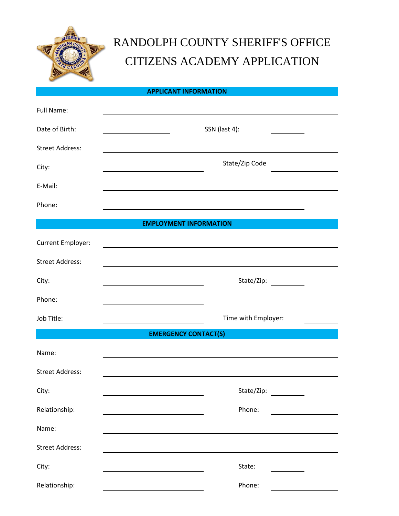

# RANDOLPH COUNTY SHERIFF'S OFFICE CITIZENS ACADEMY APPLICATION

### **APPLICANT INFORMATION**

| Full Name:                  |                               |  |  |  |  |  |
|-----------------------------|-------------------------------|--|--|--|--|--|
| Date of Birth:              | SSN (last 4):                 |  |  |  |  |  |
| <b>Street Address:</b>      |                               |  |  |  |  |  |
| City:                       | State/Zip Code                |  |  |  |  |  |
| E-Mail:                     |                               |  |  |  |  |  |
| Phone:                      |                               |  |  |  |  |  |
|                             | <b>EMPLOYMENT INFORMATION</b> |  |  |  |  |  |
| Current Employer:           |                               |  |  |  |  |  |
| <b>Street Address:</b>      |                               |  |  |  |  |  |
| City:                       | State/Zip:                    |  |  |  |  |  |
| Phone:                      |                               |  |  |  |  |  |
| Job Title:                  | Time with Employer:           |  |  |  |  |  |
| <b>EMERGENCY CONTACT(S)</b> |                               |  |  |  |  |  |
| Name:                       |                               |  |  |  |  |  |
| <b>Street Address:</b>      |                               |  |  |  |  |  |
| City:                       | State/Zip:                    |  |  |  |  |  |
| Relationship:               | Phone:                        |  |  |  |  |  |
| Name:                       |                               |  |  |  |  |  |
| <b>Street Address:</b>      |                               |  |  |  |  |  |
| City:                       | State:                        |  |  |  |  |  |
| Relationship:               | Phone:                        |  |  |  |  |  |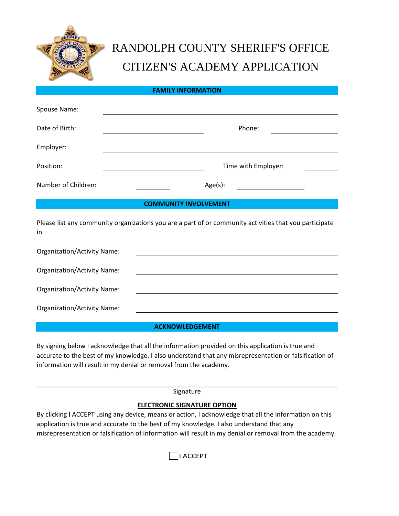

# RANDOLPH COUNTY SHERIFF'S OFFICE CITIZEN'S ACADEMY APPLICATION

**FAMILY INFORMATION**

| Spouse Name:                                                                                                  |                     |  |  |  |  |  |  |
|---------------------------------------------------------------------------------------------------------------|---------------------|--|--|--|--|--|--|
| Date of Birth:                                                                                                | Phone:              |  |  |  |  |  |  |
| Employer:                                                                                                     |                     |  |  |  |  |  |  |
| Position:                                                                                                     | Time with Employer: |  |  |  |  |  |  |
| Number of Children:                                                                                           | Age(s):             |  |  |  |  |  |  |
| <b>COMMUNITY INVOLVEMENT</b>                                                                                  |                     |  |  |  |  |  |  |
| Please list any community organizations you are a part of or community activities that you participate<br>in. |                     |  |  |  |  |  |  |
| Organization/Activity Name:                                                                                   |                     |  |  |  |  |  |  |
| Organization/Activity Name:                                                                                   |                     |  |  |  |  |  |  |
| <b>Organization/Activity Name:</b>                                                                            |                     |  |  |  |  |  |  |
| Organization/Activity Name:                                                                                   |                     |  |  |  |  |  |  |

**ACKNOWLEDGEMENT**

By signing below I acknowledge that all the information provided on this application is true and accurate to the best of my knowledge. I also understand that any misrepresentation or falsification of information will result in my denial or removal from the academy.

Signature

#### **ELECTRONIC SIGNATURE OPTION**

By clicking I ACCEPT using any device, means or action, I acknowledge that all the information on this application is true and accurate to the best of my knowledge. I also understand that any misrepresentation or falsification of information will result in my denial or removal from the academy.

I ACCEPT